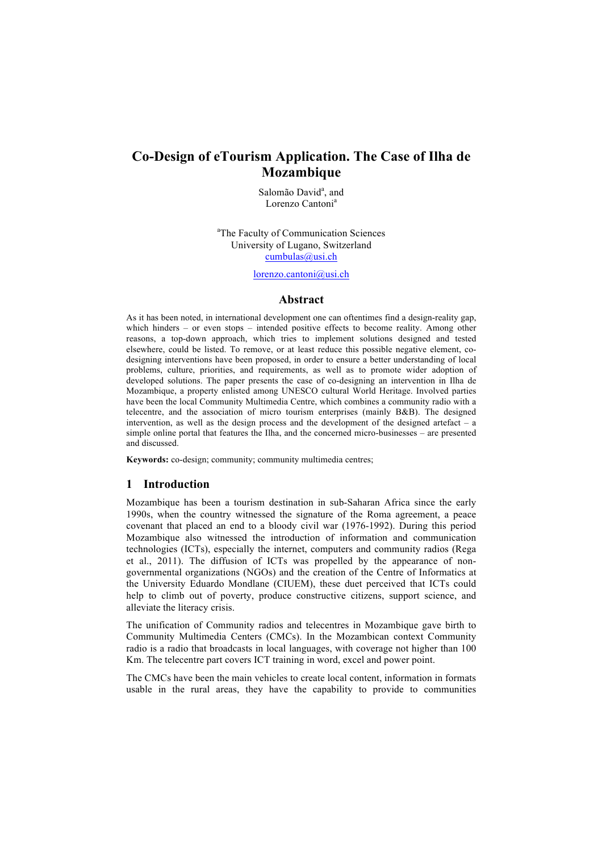# **Co-Design of eTourism Application. The Case of Ilha de Mozambique**

Salomão David<sup>a</sup>, and Lorenzo Cantoni<sup>a</sup>

<sup>a</sup>The Faculty of Communication Sciences University of Lugano, Switzerland cumbulas@usi.ch

lorenzo.cantoni@usi.ch

#### **Abstract**

As it has been noted, in international development one can oftentimes find a design-reality gap, which hinders – or even stops – intended positive effects to become reality. Among other reasons, a top-down approach, which tries to implement solutions designed and tested elsewhere, could be listed. To remove, or at least reduce this possible negative element, codesigning interventions have been proposed, in order to ensure a better understanding of local problems, culture, priorities, and requirements, as well as to promote wider adoption of developed solutions. The paper presents the case of co-designing an intervention in Ilha de Mozambique, a property enlisted among UNESCO cultural World Heritage. Involved parties have been the local Community Multimedia Centre, which combines a community radio with a telecentre, and the association of micro tourism enterprises (mainly B&B). The designed intervention, as well as the design process and the development of the designed artefact – a simple online portal that features the Ilha, and the concerned micro-businesses – are presented and discussed.

**Keywords:** co-design; community; community multimedia centres;

### **1 Introduction**

Mozambique has been a tourism destination in sub-Saharan Africa since the early 1990s, when the country witnessed the signature of the Roma agreement, a peace covenant that placed an end to a bloody civil war (1976-1992). During this period Mozambique also witnessed the introduction of information and communication technologies (ICTs), especially the internet, computers and community radios (Rega et al., 2011). The diffusion of ICTs was propelled by the appearance of nongovernmental organizations (NGOs) and the creation of the Centre of Informatics at the University Eduardo Mondlane (CIUEM), these duet perceived that ICTs could help to climb out of poverty, produce constructive citizens, support science, and alleviate the literacy crisis.

The unification of Community radios and telecentres in Mozambique gave birth to Community Multimedia Centers (CMCs). In the Mozambican context Community radio is a radio that broadcasts in local languages, with coverage not higher than 100 Km. The telecentre part covers ICT training in word, excel and power point.

The CMCs have been the main vehicles to create local content, information in formats usable in the rural areas, they have the capability to provide to communities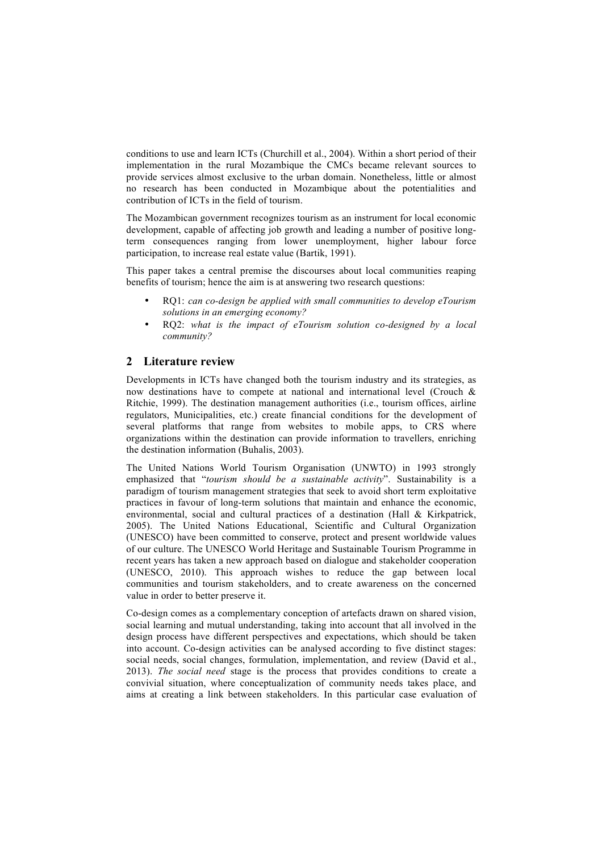conditions to use and learn ICTs (Churchill et al., 2004). Within a short period of their implementation in the rural Mozambique the CMCs became relevant sources to provide services almost exclusive to the urban domain. Nonetheless, little or almost no research has been conducted in Mozambique about the potentialities and contribution of ICTs in the field of tourism.

The Mozambican government recognizes tourism as an instrument for local economic development, capable of affecting job growth and leading a number of positive longterm consequences ranging from lower unemployment, higher labour force participation, to increase real estate value (Bartik, 1991).

This paper takes a central premise the discourses about local communities reaping benefits of tourism; hence the aim is at answering two research questions:

- RQ1: *can co-design be applied with small communities to develop eTourism solutions in an emerging economy?*
- RQ2: *what is the impact of eTourism solution co-designed by a local community?*

# **2 Literature review**

Developments in ICTs have changed both the tourism industry and its strategies, as now destinations have to compete at national and international level (Crouch & Ritchie, 1999). The destination management authorities (i.e., tourism offices, airline regulators, Municipalities, etc.) create financial conditions for the development of several platforms that range from websites to mobile apps, to CRS where organizations within the destination can provide information to travellers, enriching the destination information (Buhalis, 2003).

The United Nations World Tourism Organisation (UNWTO) in 1993 strongly emphasized that "*tourism should be a sustainable activity*". Sustainability is a paradigm of tourism management strategies that seek to avoid short term exploitative practices in favour of long-term solutions that maintain and enhance the economic, environmental, social and cultural practices of a destination (Hall & Kirkpatrick, 2005). The United Nations Educational, Scientific and Cultural Organization (UNESCO) have been committed to conserve, protect and present worldwide values of our culture. The UNESCO World Heritage and Sustainable Tourism Programme in recent years has taken a new approach based on dialogue and stakeholder cooperation (UNESCO, 2010). This approach wishes to reduce the gap between local communities and tourism stakeholders, and to create awareness on the concerned value in order to better preserve it.

Co-design comes as a complementary conception of artefacts drawn on shared vision, social learning and mutual understanding, taking into account that all involved in the design process have different perspectives and expectations, which should be taken into account. Co-design activities can be analysed according to five distinct stages: social needs, social changes, formulation, implementation, and review (David et al., 2013). *The social need* stage is the process that provides conditions to create a convivial situation, where conceptualization of community needs takes place, and aims at creating a link between stakeholders. In this particular case evaluation of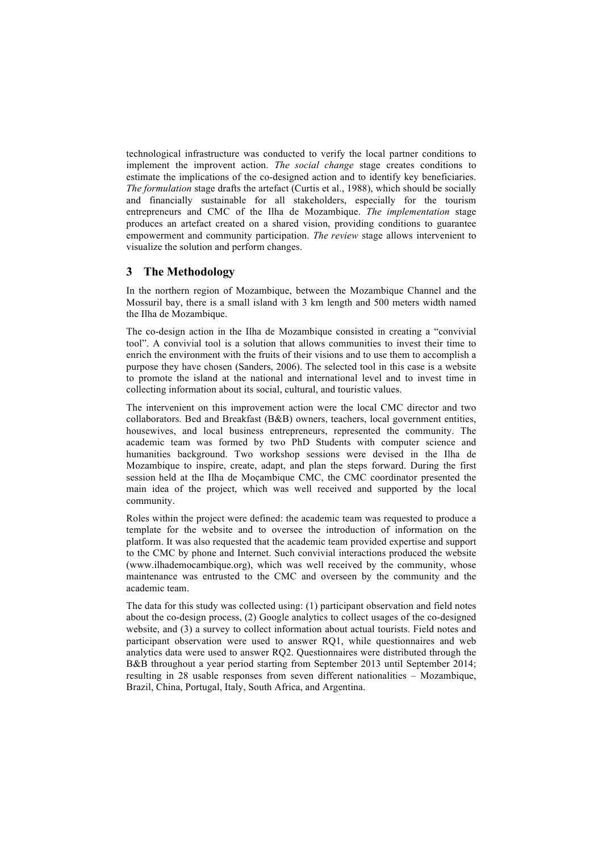technological infrastructure was conducted to verify the local partner conditions to implement the improvent action. *The social change* stage creates conditions to estimate the implications of the co-designed action and to identify key beneficiaries. *The formulation* stage drafts the artefact (Curtis et al., 1988), which should be socially and financially sustainable for all stakeholders, especially for the tourism entrepreneurs and CMC of the Ilha de Mozambique. *The implementation* stage produces an artefact created on a shared vision, providing conditions to guarantee empowerment and community participation. *The review* stage allows intervenient to visualize the solution and perform changes.

# **3 The Methodology**

In the northern region of Mozambique, between the Mozambique Channel and the Mossuril bay, there is a small island with 3 km length and 500 meters width named the Ilha de Mozambique.

The co-design action in the Ilha de Mozambique consisted in creating a "convivial tool". A convivial tool is a solution that allows communities to invest their time to enrich the environment with the fruits of their visions and to use them to accomplish a purpose they have chosen (Sanders, 2006). The selected tool in this case is a website to promote the island at the national and international level and to invest time in collecting information about its social, cultural, and touristic values.

The intervenient on this improvement action were the local CMC director and two collaborators. Bed and Breakfast (B&B) owners, teachers, local government entities, housewives, and local business entrepreneurs, represented the community. The academic team was formed by two PhD Students with computer science and humanities background. Two workshop sessions were devised in the Ilha de Mozambique to inspire, create, adapt, and plan the steps forward. During the first session held at the Ilha de Moçambique CMC, the CMC coordinator presented the main idea of the project, which was well received and supported by the local community.

Roles within the project were defined: the academic team was requested to produce a template for the website and to oversee the introduction of information on the platform. It was also requested that the academic team provided expertise and support to the CMC by phone and Internet. Such convivial interactions produced the website (www.ilhademocambique.org), which was well received by the community, whose maintenance was entrusted to the CMC and overseen by the community and the academic team.

The data for this study was collected using: (1) participant observation and field notes about the co-design process, (2) Google analytics to collect usages of the co-designed website, and  $(3)$  a survey to collect information about actual tourists. Field notes and participant observation were used to answer RQ1, while questionnaires and web analytics data were used to answer RQ2. Questionnaires were distributed through the B&B throughout a year period starting from September 2013 until September 2014; resulting in 28 usable responses from seven different nationalities – Mozambique, Brazil, China, Portugal, Italy, South Africa, and Argentina.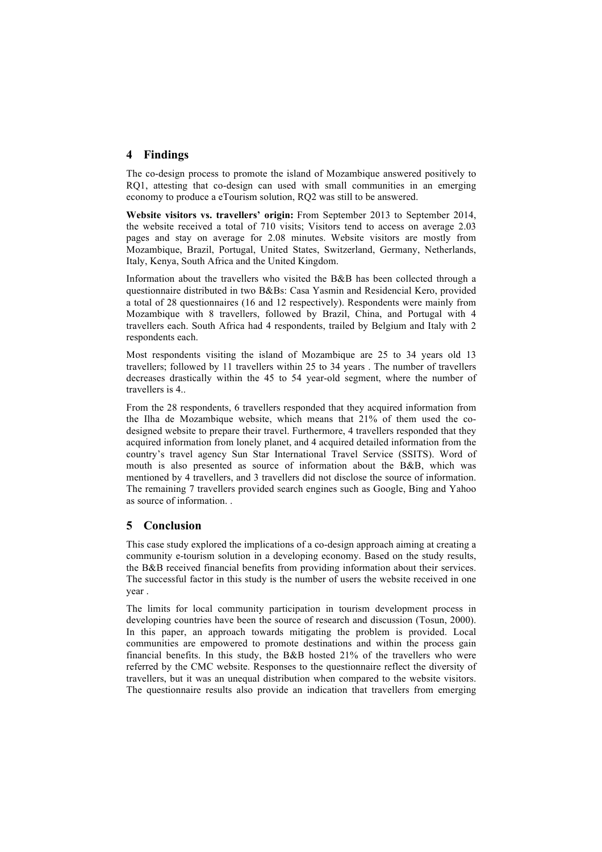## **4 Findings**

The co-design process to promote the island of Mozambique answered positively to RQ1, attesting that co-design can used with small communities in an emerging economy to produce a eTourism solution, RQ2 was still to be answered.

**Website visitors vs. travellers' origin:** From September 2013 to September 2014, the website received a total of 710 visits; Visitors tend to access on average 2.03 pages and stay on average for 2.08 minutes. Website visitors are mostly from Mozambique, Brazil, Portugal, United States, Switzerland, Germany, Netherlands, Italy, Kenya, South Africa and the United Kingdom.

Information about the travellers who visited the B&B has been collected through a questionnaire distributed in two B&Bs: Casa Yasmin and Residencial Kero, provided a total of 28 questionnaires (16 and 12 respectively). Respondents were mainly from Mozambique with 8 travellers, followed by Brazil, China, and Portugal with 4 travellers each. South Africa had 4 respondents, trailed by Belgium and Italy with 2 respondents each.

Most respondents visiting the island of Mozambique are 25 to 34 years old 13 travellers; followed by 11 travellers within 25 to 34 years . The number of travellers decreases drastically within the 45 to 54 year-old segment, where the number of travellers is 4..

From the 28 respondents, 6 travellers responded that they acquired information from the Ilha de Mozambique website, which means that 21% of them used the codesigned website to prepare their travel. Furthermore, 4 travellers responded that they acquired information from lonely planet, and 4 acquired detailed information from the country's travel agency Sun Star International Travel Service (SSITS). Word of mouth is also presented as source of information about the B&B, which was mentioned by 4 travellers, and 3 travellers did not disclose the source of information. The remaining 7 travellers provided search engines such as Google, Bing and Yahoo as source of information. .

## **5 Conclusion**

This case study explored the implications of a co-design approach aiming at creating a community e-tourism solution in a developing economy. Based on the study results, the B&B received financial benefits from providing information about their services. The successful factor in this study is the number of users the website received in one year .

The limits for local community participation in tourism development process in developing countries have been the source of research and discussion (Tosun, 2000). In this paper, an approach towards mitigating the problem is provided. Local communities are empowered to promote destinations and within the process gain financial benefits. In this study, the B&B hosted 21% of the travellers who were referred by the CMC website. Responses to the questionnaire reflect the diversity of travellers, but it was an unequal distribution when compared to the website visitors. The questionnaire results also provide an indication that travellers from emerging